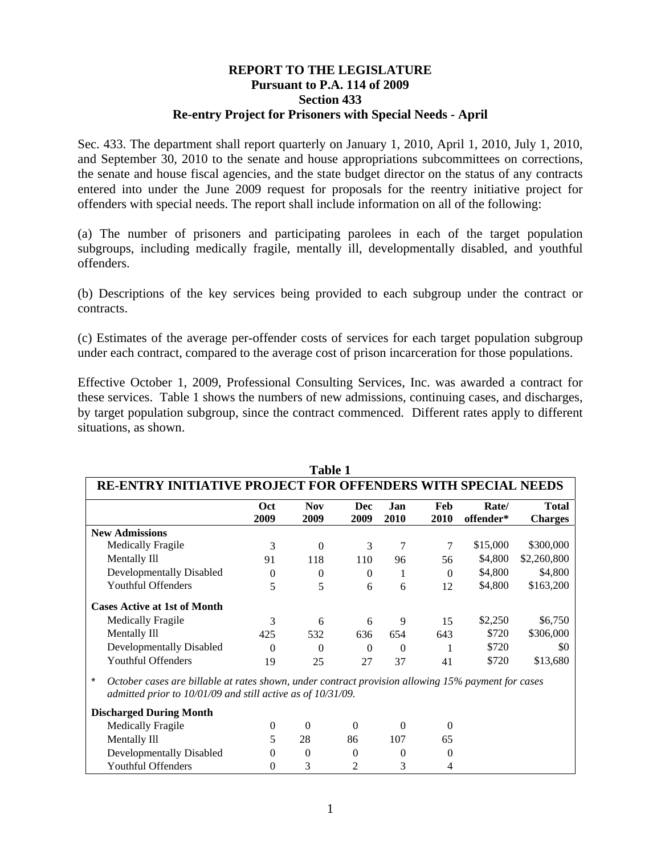## **REPORT TO THE LEGISLATURE Pursuant to P.A. 114 of 2009 Section 433 Re-entry Project for Prisoners with Special Needs - April**

Sec. 433. The department shall report quarterly on January 1, 2010, April 1, 2010, July 1, 2010, and September 30, 2010 to the senate and house appropriations subcommittees on corrections, the senate and house fiscal agencies, and the state budget director on the status of any contracts entered into under the June 2009 request for proposals for the reentry initiative project for offenders with special needs. The report shall include information on all of the following:

(a) The number of prisoners and participating parolees in each of the target population subgroups, including medically fragile, mentally ill, developmentally disabled, and youthful offenders.

(b) Descriptions of the key services being provided to each subgroup under the contract or contracts.

(c) Estimates of the average per-offender costs of services for each target population subgroup under each contract, compared to the average cost of prison incarceration for those populations.

Effective October 1, 2009, Professional Consulting Services, Inc. was awarded a contract for these services. Table 1 shows the numbers of new admissions, continuing cases, and discharges, by target population subgroup, since the contract commenced. Different rates apply to different situations, as shown.

**Table 1** 

|                                                                                                               |          | Tabie 1    |          |          |          |           |                |
|---------------------------------------------------------------------------------------------------------------|----------|------------|----------|----------|----------|-----------|----------------|
| RE-ENTRY INITIATIVE PROJECT FOR OFFENDERS WITH SPECIAL NEEDS                                                  |          |            |          |          |          |           |                |
|                                                                                                               | Oct      | <b>Nov</b> | Dec      | Jan      | Feb      | Rate/     | <b>Total</b>   |
|                                                                                                               | 2009     | 2009       | 2009     | 2010     | 2010     | offender* | <b>Charges</b> |
| <b>New Admissions</b>                                                                                         |          |            |          |          |          |           |                |
| <b>Medically Fragile</b>                                                                                      | 3        | $\Omega$   | 3        | 7        | 7        | \$15,000  | \$300,000      |
| Mentally Ill                                                                                                  | 91       | 118        | 110      | 96       | 56       | \$4,800   | \$2,260,800    |
| Developmentally Disabled                                                                                      | $\Omega$ | $\theta$   | $\Omega$ | 1        | $\theta$ | \$4,800   | \$4,800        |
| <b>Youthful Offenders</b>                                                                                     | 5        | 5          | 6        | 6        | 12       | \$4,800   | \$163,200      |
| <b>Cases Active at 1st of Month</b>                                                                           |          |            |          |          |          |           |                |
| Medically Fragile                                                                                             | 3        | 6          | 6        | 9        | 15       | \$2,250   | \$6,750        |
| Mentally Ill                                                                                                  | 425      | 532        | 636      | 654      | 643      | \$720     | \$306,000      |
| Developmentally Disabled                                                                                      | 0        | 0          | $\Omega$ | $\Omega$ |          | \$720     | \$0            |
| <b>Youthful Offenders</b>                                                                                     | 19       | 25         | 27       | 37       | 41       | \$720     | \$13,680       |
| $\star$<br>October cases are billable at rates shown, under contract provision allowing 15% payment for cases |          |            |          |          |          |           |                |
| admitted prior to 10/01/09 and still active as of 10/31/09.                                                   |          |            |          |          |          |           |                |
| <b>Discharged During Month</b>                                                                                |          |            |          |          |          |           |                |
| <b>Medically Fragile</b>                                                                                      | $\Omega$ | 0          | $\Omega$ | $\Omega$ | 0        |           |                |
| Mentally Ill                                                                                                  | 5        | 28         | 86       | 107      | 65       |           |                |

**Developmentally Disabled** 0 0 0 0 0 0 0 **Youthful Offenders** 0 3 2 3 4